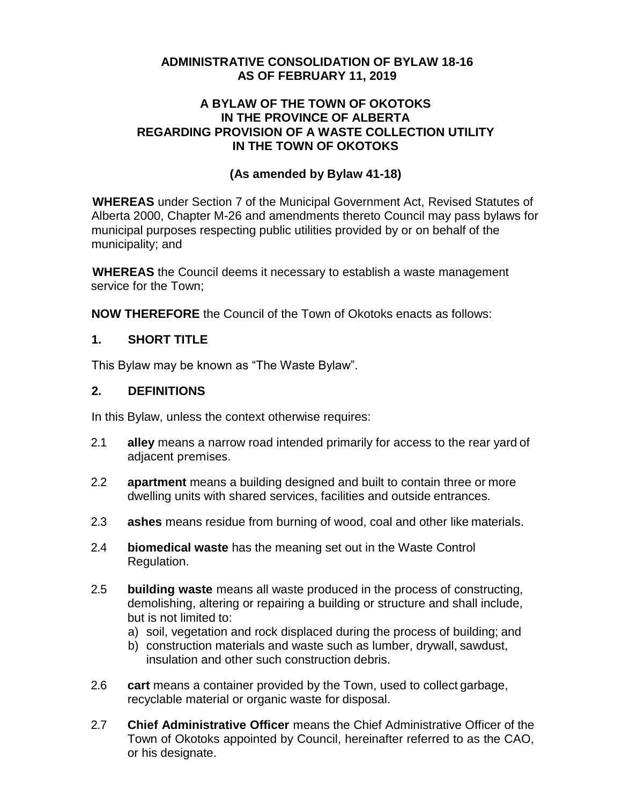#### **ADMINISTRATIVE CONSOLIDATION OF BYLAW 18-16 AS OF FEBRUARY 11, 2019**

#### **A BYLAW OF THE TOWN OF OKOTOKS IN THE PROVINCE OF ALBERTA REGARDING PROVISION OF A WASTE COLLECTION UTILITY IN THE TOWN OF OKOTOKS**

#### **(As amended by Bylaw 41-18)**

**WHEREAS** under Section 7 of the Municipal Government Act, Revised Statutes of Alberta 2000, Chapter M-26 and amendments thereto Council may pass bylaws for municipal purposes respecting public utilities provided by or on behalf of the municipality; and

**WHEREAS** the Council deems it necessary to establish a waste management service for the Town;

**NOW THEREFORE** the Council of the Town of Okotoks enacts as follows:

#### **1. SHORT TITLE**

This Bylaw may be known as "The Waste Bylaw".

#### **2. DEFINITIONS**

In this Bylaw, unless the context otherwise requires:

- 2.1 **alley** means a narrow road intended primarily for access to the rear yard of adjacent premises.
- 2.2 **apartment** means a building designed and built to contain three or more dwelling units with shared services, facilities and outside entrances.
- 2.3 **ashes** means residue from burning of wood, coal and other like materials.
- 2.4 **biomedical waste** has the meaning set out in the Waste Control Regulation.
- 2.5 **building waste** means all waste produced in the process of constructing, demolishing, altering or repairing a building or structure and shall include, but is not limited to:
	- a) soil, vegetation and rock displaced during the process of building; and
	- b) construction materials and waste such as lumber, drywall, sawdust, insulation and other such construction debris.
- 2.6 **cart** means a container provided by the Town, used to collect garbage, recyclable material or organic waste for disposal.
- 2.7 **Chief Administrative Officer** means the Chief Administrative Officer of the Town of Okotoks appointed by Council, hereinafter referred to as the CAO, or his designate.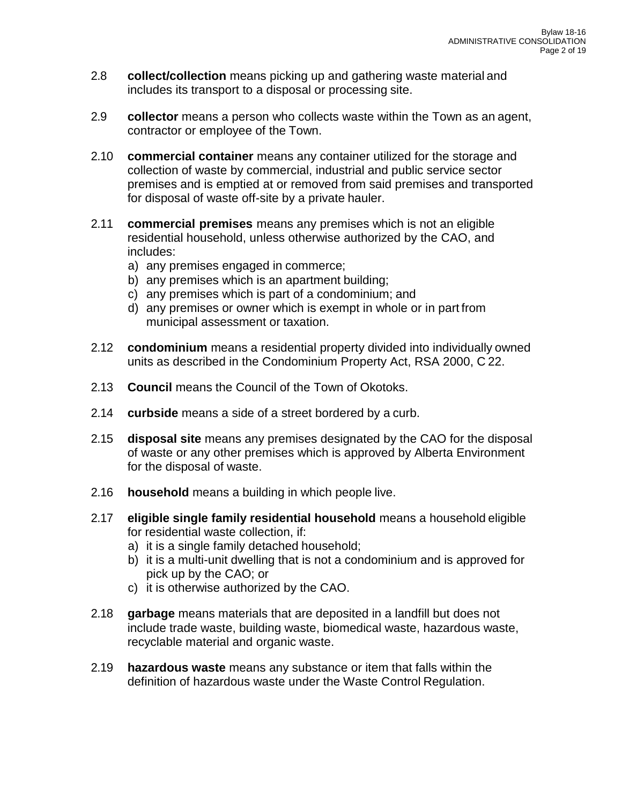- 2.8 **collect/collection** means picking up and gathering waste material and includes its transport to a disposal or processing site.
- 2.9 **collector** means a person who collects waste within the Town as an agent, contractor or employee of the Town.
- 2.10 **commercial container** means any container utilized for the storage and collection of waste by commercial, industrial and public service sector premises and is emptied at or removed from said premises and transported for disposal of waste off-site by a private hauler.
- 2.11 **commercial premises** means any premises which is not an eligible residential household, unless otherwise authorized by the CAO, and includes:
	- a) any premises engaged in commerce;
	- b) any premises which is an apartment building;
	- c) any premises which is part of a condominium; and
	- d) any premises or owner which is exempt in whole or in part from municipal assessment or taxation.
- 2.12 **condominium** means a residential property divided into individually owned units as described in the Condominium Property Act, RSA 2000, C 22.
- 2.13 **Council** means the Council of the Town of Okotoks.
- 2.14 **curbside** means a side of a street bordered by a curb.
- 2.15 **disposal site** means any premises designated by the CAO for the disposal of waste or any other premises which is approved by Alberta Environment for the disposal of waste.
- 2.16 **household** means a building in which people live.
- 2.17 **eligible single family residential household** means a household eligible for residential waste collection, if:
	- a) it is a single family detached household;
	- b) it is a multi-unit dwelling that is not a condominium and is approved for pick up by the CAO; or
	- c) it is otherwise authorized by the CAO.
- 2.18 **garbage** means materials that are deposited in a landfill but does not include trade waste, building waste, biomedical waste, hazardous waste, recyclable material and organic waste.
- 2.19 **hazardous waste** means any substance or item that falls within the definition of hazardous waste under the Waste Control Regulation.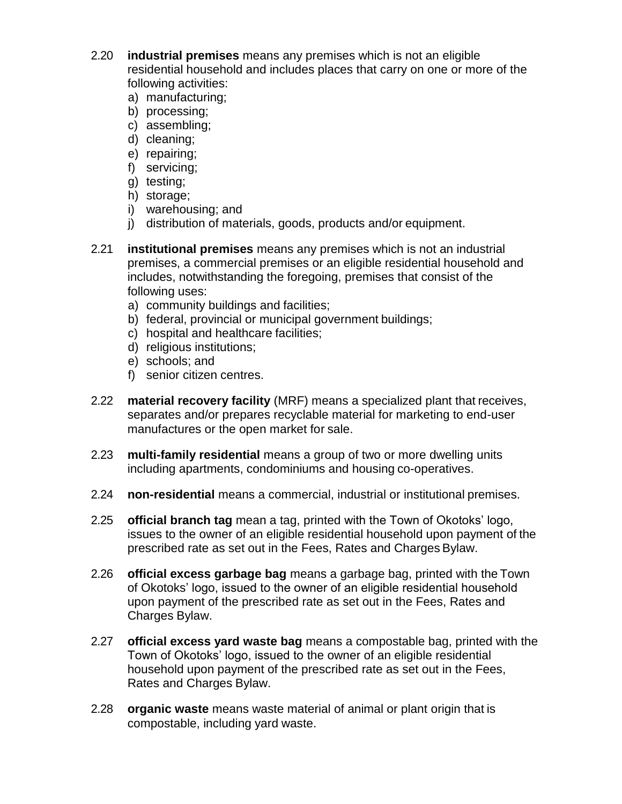- 2.20 **industrial premises** means any premises which is not an eligible residential household and includes places that carry on one or more of the following activities:
	- a) manufacturing;
	- b) processing;
	- c) assembling;
	- d) cleaning;
	- e) repairing;
	- f) servicing;
	- g) testing;
	- h) storage;
	- i) warehousing; and
	- j) distribution of materials, goods, products and/or equipment.
- 2.21 **institutional premises** means any premises which is not an industrial premises, a commercial premises or an eligible residential household and includes, notwithstanding the foregoing, premises that consist of the following uses:
	- a) community buildings and facilities;
	- b) federal, provincial or municipal government buildings;
	- c) hospital and healthcare facilities;
	- d) religious institutions;
	- e) schools; and
	- f) senior citizen centres.
- 2.22 **material recovery facility** (MRF) means a specialized plant that receives, separates and/or prepares recyclable material for marketing to end-user manufactures or the open market for sale.
- 2.23 **multi-family residential** means a group of two or more dwelling units including apartments, condominiums and housing co-operatives.
- 2.24 **non-residential** means a commercial, industrial or institutional premises.
- 2.25 **official branch tag** mean a tag, printed with the Town of Okotoks' logo, issues to the owner of an eligible residential household upon payment of the prescribed rate as set out in the Fees, Rates and Charges Bylaw.
- 2.26 **official excess garbage bag** means a garbage bag, printed with the Town of Okotoks' logo, issued to the owner of an eligible residential household upon payment of the prescribed rate as set out in the Fees, Rates and Charges Bylaw.
- 2.27 **official excess yard waste bag** means a compostable bag, printed with the Town of Okotoks' logo, issued to the owner of an eligible residential household upon payment of the prescribed rate as set out in the Fees, Rates and Charges Bylaw.
- 2.28 **organic waste** means waste material of animal or plant origin that is compostable, including yard waste.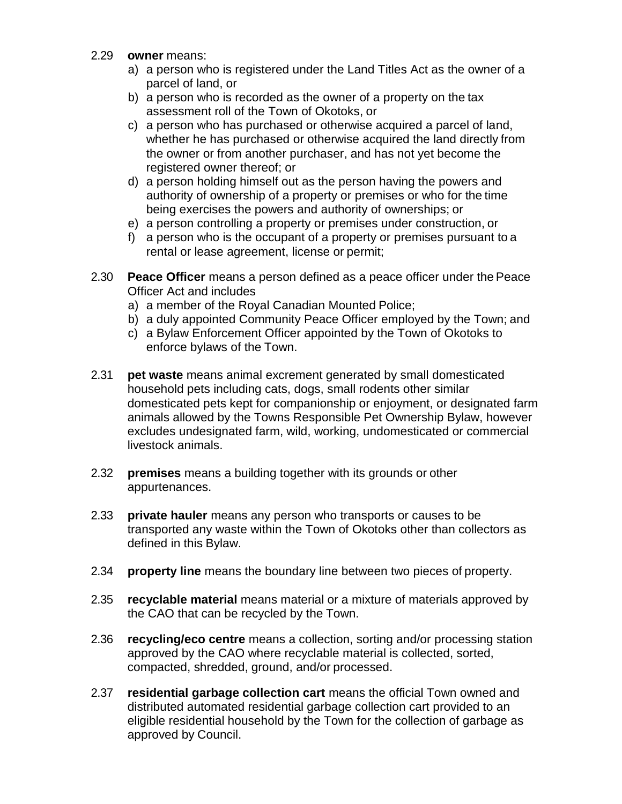- 2.29 **owner** means:
	- a) a person who is registered under the Land Titles Act as the owner of a parcel of land, or
	- b) a person who is recorded as the owner of a property on the tax assessment roll of the Town of Okotoks, or
	- c) a person who has purchased or otherwise acquired a parcel of land, whether he has purchased or otherwise acquired the land directly from the owner or from another purchaser, and has not yet become the registered owner thereof; or
	- d) a person holding himself out as the person having the powers and authority of ownership of a property or premises or who for the time being exercises the powers and authority of ownerships; or
	- e) a person controlling a property or premises under construction, or
	- f) a person who is the occupant of a property or premises pursuant to a rental or lease agreement, license or permit;
- 2.30 **Peace Officer** means a person defined as a peace officer under the Peace Officer Act and includes
	- a) a member of the Royal Canadian Mounted Police;
	- b) a duly appointed Community Peace Officer employed by the Town; and
	- c) a Bylaw Enforcement Officer appointed by the Town of Okotoks to enforce bylaws of the Town.
- 2.31 **pet waste** means animal excrement generated by small domesticated household pets including cats, dogs, small rodents other similar domesticated pets kept for companionship or enjoyment, or designated farm animals allowed by the Towns Responsible Pet Ownership Bylaw, however excludes undesignated farm, wild, working, undomesticated or commercial livestock animals.
- 2.32 **premises** means a building together with its grounds or other appurtenances.
- 2.33 **private hauler** means any person who transports or causes to be transported any waste within the Town of Okotoks other than collectors as defined in this Bylaw.
- 2.34 **property line** means the boundary line between two pieces of property.
- 2.35 **recyclable material** means material or a mixture of materials approved by the CAO that can be recycled by the Town.
- 2.36 **recycling/eco centre** means a collection, sorting and/or processing station approved by the CAO where recyclable material is collected, sorted, compacted, shredded, ground, and/or processed.
- 2.37 **residential garbage collection cart** means the official Town owned and distributed automated residential garbage collection cart provided to an eligible residential household by the Town for the collection of garbage as approved by Council.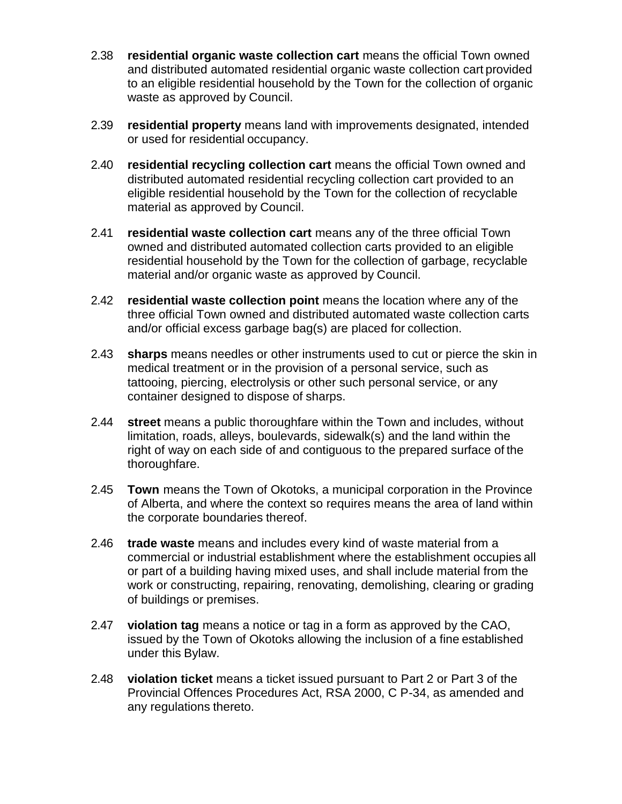- 2.38 **residential organic waste collection cart** means the official Town owned and distributed automated residential organic waste collection cart provided to an eligible residential household by the Town for the collection of organic waste as approved by Council.
- 2.39 **residential property** means land with improvements designated, intended or used for residential occupancy.
- 2.40 **residential recycling collection cart** means the official Town owned and distributed automated residential recycling collection cart provided to an eligible residential household by the Town for the collection of recyclable material as approved by Council.
- 2.41 **residential waste collection cart** means any of the three official Town owned and distributed automated collection carts provided to an eligible residential household by the Town for the collection of garbage, recyclable material and/or organic waste as approved by Council.
- 2.42 **residential waste collection point** means the location where any of the three official Town owned and distributed automated waste collection carts and/or official excess garbage bag(s) are placed for collection.
- 2.43 **sharps** means needles or other instruments used to cut or pierce the skin in medical treatment or in the provision of a personal service, such as tattooing, piercing, electrolysis or other such personal service, or any container designed to dispose of sharps.
- 2.44 **street** means a public thoroughfare within the Town and includes, without limitation, roads, alleys, boulevards, sidewalk(s) and the land within the right of way on each side of and contiguous to the prepared surface of the thoroughfare.
- 2.45 **Town** means the Town of Okotoks, a municipal corporation in the Province of Alberta, and where the context so requires means the area of land within the corporate boundaries thereof.
- 2.46 **trade waste** means and includes every kind of waste material from a commercial or industrial establishment where the establishment occupies all or part of a building having mixed uses, and shall include material from the work or constructing, repairing, renovating, demolishing, clearing or grading of buildings or premises.
- 2.47 **violation tag** means a notice or tag in a form as approved by the CAO, issued by the Town of Okotoks allowing the inclusion of a fine established under this Bylaw.
- 2.48 **violation ticket** means a ticket issued pursuant to Part 2 or Part 3 of the Provincial Offences Procedures Act, RSA 2000, C P-34, as amended and any regulations thereto.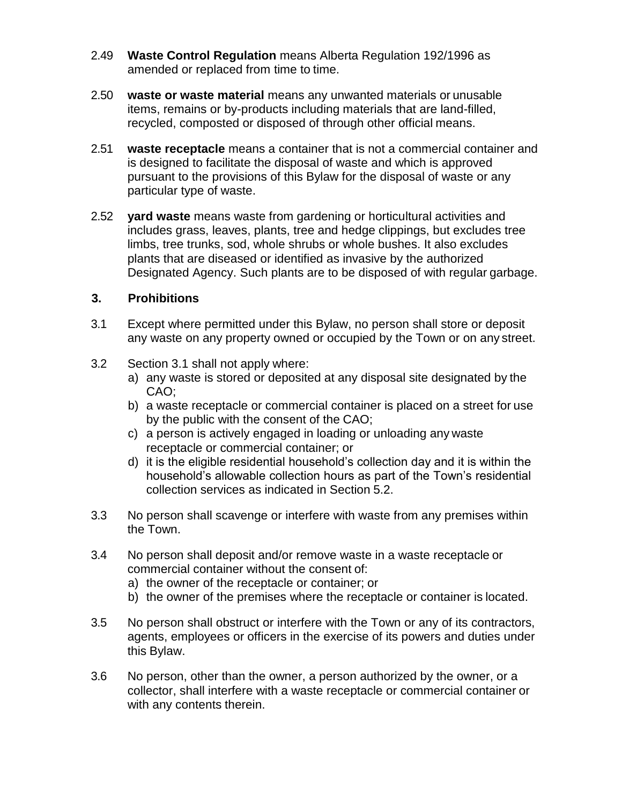- 2.49 **Waste Control Regulation** means Alberta Regulation 192/1996 as amended or replaced from time to time.
- 2.50 **waste or waste material** means any unwanted materials or unusable items, remains or by-products including materials that are land-filled, recycled, composted or disposed of through other official means.
- 2.51 **waste receptacle** means a container that is not a commercial container and is designed to facilitate the disposal of waste and which is approved pursuant to the provisions of this Bylaw for the disposal of waste or any particular type of waste.
- 2.52 **yard waste** means waste from gardening or horticultural activities and includes grass, leaves, plants, tree and hedge clippings, but excludes tree limbs, tree trunks, sod, whole shrubs or whole bushes. It also excludes plants that are diseased or identified as invasive by the authorized Designated Agency. Such plants are to be disposed of with regular garbage.

#### **3. Prohibitions**

- 3.1 Except where permitted under this Bylaw, no person shall store or deposit any waste on any property owned or occupied by the Town or on any street.
- 3.2 Section 3.1 shall not apply where:
	- a) any waste is stored or deposited at any disposal site designated by the CAO;
	- b) a waste receptacle or commercial container is placed on a street for use by the public with the consent of the CAO;
	- c) a person is actively engaged in loading or unloading any waste receptacle or commercial container; or
	- d) it is the eligible residential household's collection day and it is within the household's allowable collection hours as part of the Town's residential collection services as indicated in Section 5.2.
- 3.3 No person shall scavenge or interfere with waste from any premises within the Town.
- 3.4 No person shall deposit and/or remove waste in a waste receptacle or commercial container without the consent of:
	- a) the owner of the receptacle or container; or
	- b) the owner of the premises where the receptacle or container is located.
- 3.5 No person shall obstruct or interfere with the Town or any of its contractors, agents, employees or officers in the exercise of its powers and duties under this Bylaw.
- 3.6 No person, other than the owner, a person authorized by the owner, or a collector, shall interfere with a waste receptacle or commercial container or with any contents therein.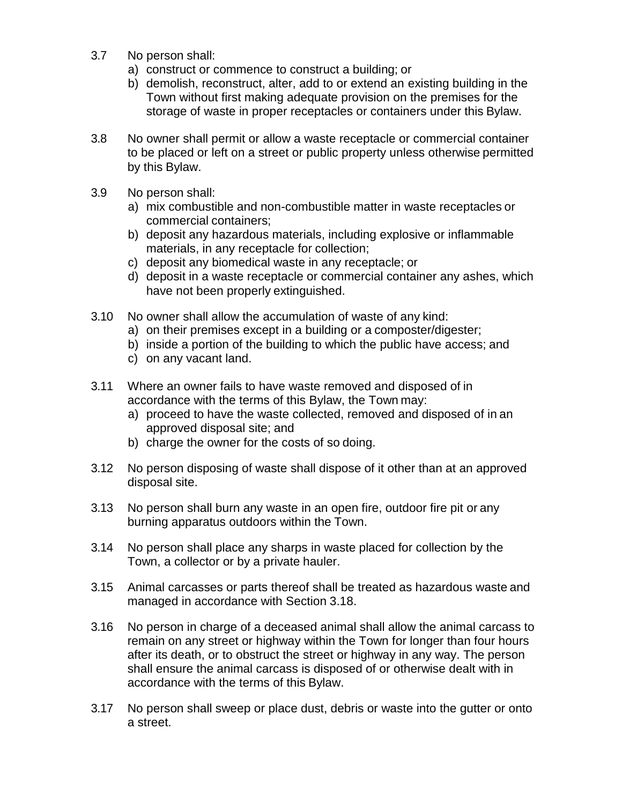- 3.7 No person shall:
	- a) construct or commence to construct a building; or
	- b) demolish, reconstruct, alter, add to or extend an existing building in the Town without first making adequate provision on the premises for the storage of waste in proper receptacles or containers under this Bylaw.
- 3.8 No owner shall permit or allow a waste receptacle or commercial container to be placed or left on a street or public property unless otherwise permitted by this Bylaw.
- 3.9 No person shall:
	- a) mix combustible and non-combustible matter in waste receptacles or commercial containers;
	- b) deposit any hazardous materials, including explosive or inflammable materials, in any receptacle for collection;
	- c) deposit any biomedical waste in any receptacle; or
	- d) deposit in a waste receptacle or commercial container any ashes, which have not been properly extinguished.
- 3.10 No owner shall allow the accumulation of waste of any kind:
	- a) on their premises except in a building or a composter/digester;
	- b) inside a portion of the building to which the public have access; and
	- c) on any vacant land.
- 3.11 Where an owner fails to have waste removed and disposed of in accordance with the terms of this Bylaw, the Town may:
	- a) proceed to have the waste collected, removed and disposed of in an approved disposal site; and
	- b) charge the owner for the costs of so doing.
- 3.12 No person disposing of waste shall dispose of it other than at an approved disposal site.
- 3.13 No person shall burn any waste in an open fire, outdoor fire pit or any burning apparatus outdoors within the Town.
- 3.14 No person shall place any sharps in waste placed for collection by the Town, a collector or by a private hauler.
- 3.15 Animal carcasses or parts thereof shall be treated as hazardous waste and managed in accordance with Section 3.18.
- 3.16 No person in charge of a deceased animal shall allow the animal carcass to remain on any street or highway within the Town for longer than four hours after its death, or to obstruct the street or highway in any way. The person shall ensure the animal carcass is disposed of or otherwise dealt with in accordance with the terms of this Bylaw.
- 3.17 No person shall sweep or place dust, debris or waste into the gutter or onto a street.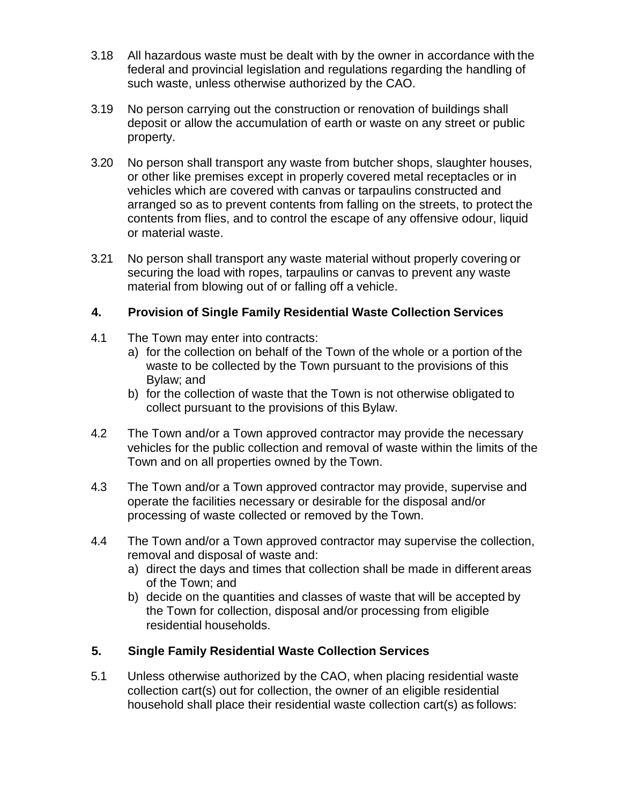- 3.18 All hazardous waste must be dealt with by the owner in accordance with the federal and provincial legislation and regulations regarding the handling of such waste, unless otherwise authorized by the CAO.
- 3.19 No person carrying out the construction or renovation of buildings shall deposit or allow the accumulation of earth or waste on any street or public property.
- 3.20 No person shall transport any waste from butcher shops, slaughter houses, or other like premises except in properly covered metal receptacles or in vehicles which are covered with canvas or tarpaulins constructed and arranged so as to prevent contents from falling on the streets, to protect the contents from flies, and to control the escape of any offensive odour, liquid or material waste.
- 3.21 No person shall transport any waste material without properly covering or securing the load with ropes, tarpaulins or canvas to prevent any waste material from blowing out of or falling off a vehicle.

# **4. Provision of Single Family Residential Waste Collection Services**

- 4.1 The Town may enter into contracts:
	- a) for the collection on behalf of the Town of the whole or a portion of the waste to be collected by the Town pursuant to the provisions of this Bylaw; and
	- b) for the collection of waste that the Town is not otherwise obligated to collect pursuant to the provisions of this Bylaw.
- 4.2 The Town and/or a Town approved contractor may provide the necessary vehicles for the public collection and removal of waste within the limits of the Town and on all properties owned by the Town.
- 4.3 The Town and/or a Town approved contractor may provide, supervise and operate the facilities necessary or desirable for the disposal and/or processing of waste collected or removed by the Town.
- 4.4 The Town and/or a Town approved contractor may supervise the collection, removal and disposal of waste and:
	- a) direct the days and times that collection shall be made in different areas of the Town; and
	- b) decide on the quantities and classes of waste that will be accepted by the Town for collection, disposal and/or processing from eligible residential households.

# **5. Single Family Residential Waste Collection Services**

5.1 Unless otherwise authorized by the CAO, when placing residential waste collection cart(s) out for collection, the owner of an eligible residential household shall place their residential waste collection cart(s) as follows: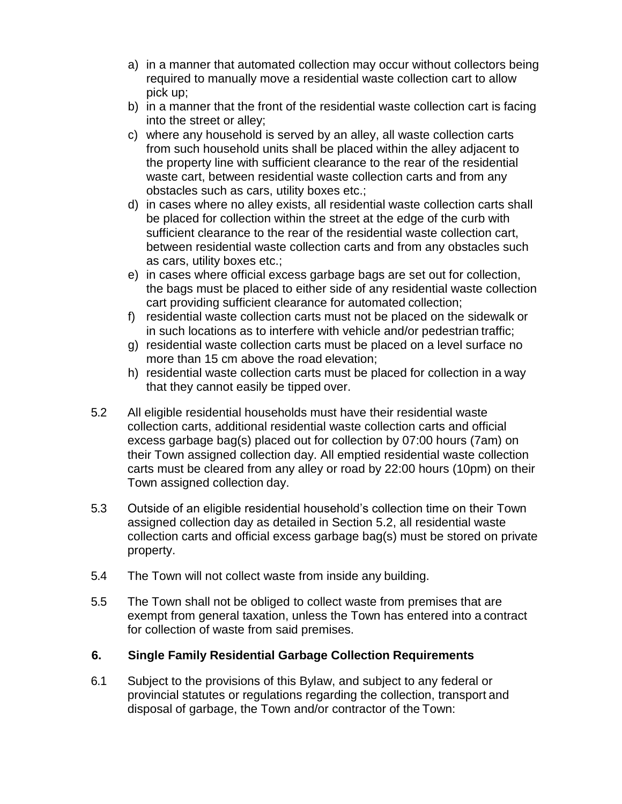- a) in a manner that automated collection may occur without collectors being required to manually move a residential waste collection cart to allow pick up;
- b) in a manner that the front of the residential waste collection cart is facing into the street or alley;
- c) where any household is served by an alley, all waste collection carts from such household units shall be placed within the alley adjacent to the property line with sufficient clearance to the rear of the residential waste cart, between residential waste collection carts and from any obstacles such as cars, utility boxes etc.;
- d) in cases where no alley exists, all residential waste collection carts shall be placed for collection within the street at the edge of the curb with sufficient clearance to the rear of the residential waste collection cart, between residential waste collection carts and from any obstacles such as cars, utility boxes etc.;
- e) in cases where official excess garbage bags are set out for collection, the bags must be placed to either side of any residential waste collection cart providing sufficient clearance for automated collection;
- f) residential waste collection carts must not be placed on the sidewalk or in such locations as to interfere with vehicle and/or pedestrian traffic;
- g) residential waste collection carts must be placed on a level surface no more than 15 cm above the road elevation;
- h) residential waste collection carts must be placed for collection in a way that they cannot easily be tipped over.
- 5.2 All eligible residential households must have their residential waste collection carts, additional residential waste collection carts and official excess garbage bag(s) placed out for collection by 07:00 hours (7am) on their Town assigned collection day. All emptied residential waste collection carts must be cleared from any alley or road by 22:00 hours (10pm) on their Town assigned collection day.
- 5.3 Outside of an eligible residential household's collection time on their Town assigned collection day as detailed in Section 5.2, all residential waste collection carts and official excess garbage bag(s) must be stored on private property.
- 5.4 The Town will not collect waste from inside any building.
- 5.5 The Town shall not be obliged to collect waste from premises that are exempt from general taxation, unless the Town has entered into a contract for collection of waste from said premises.

# **6. Single Family Residential Garbage Collection Requirements**

6.1 Subject to the provisions of this Bylaw, and subject to any federal or provincial statutes or regulations regarding the collection, transport and disposal of garbage, the Town and/or contractor of the Town: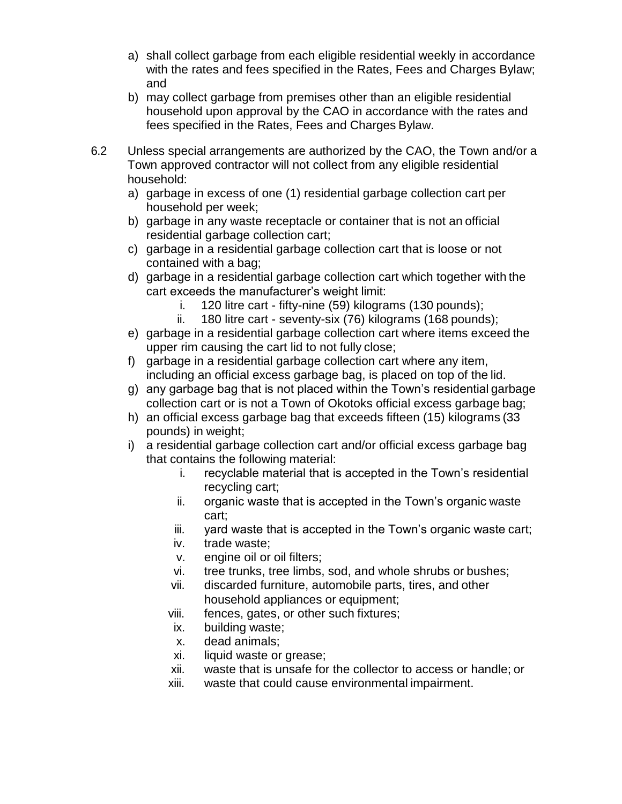- a) shall collect garbage from each eligible residential weekly in accordance with the rates and fees specified in the Rates, Fees and Charges Bylaw; and
- b) may collect garbage from premises other than an eligible residential household upon approval by the CAO in accordance with the rates and fees specified in the Rates, Fees and Charges Bylaw.
- 6.2 Unless special arrangements are authorized by the CAO, the Town and/or a Town approved contractor will not collect from any eligible residential household:
	- a) garbage in excess of one (1) residential garbage collection cart per household per week;
	- b) garbage in any waste receptacle or container that is not an official residential garbage collection cart;
	- c) garbage in a residential garbage collection cart that is loose or not contained with a bag;
	- d) garbage in a residential garbage collection cart which together with the cart exceeds the manufacturer's weight limit:
		- i. 120 litre cart fifty-nine (59) kilograms (130 pounds);
		- ii. 180 litre cart seventy-six (76) kilograms (168 pounds);
	- e) garbage in a residential garbage collection cart where items exceed the upper rim causing the cart lid to not fully close;
	- f) garbage in a residential garbage collection cart where any item, including an official excess garbage bag, is placed on top of the lid.
	- g) any garbage bag that is not placed within the Town's residential garbage collection cart or is not a Town of Okotoks official excess garbage bag;
	- h) an official excess garbage bag that exceeds fifteen (15) kilograms (33 pounds) in weight;
	- i) a residential garbage collection cart and/or official excess garbage bag that contains the following material:
		- i. recyclable material that is accepted in the Town's residential recycling cart;
		- ii. organic waste that is accepted in the Town's organic waste cart;
		- iii. yard waste that is accepted in the Town's organic waste cart;
		- iv. trade waste;
		- v. engine oil or oil filters;
		- vi. tree trunks, tree limbs, sod, and whole shrubs or bushes;
		- vii. discarded furniture, automobile parts, tires, and other household appliances or equipment;
		- viii. fences, gates, or other such fixtures;
		- ix. building waste;
		- x. dead animals;
		- xi. liquid waste or grease;
		- xii. waste that is unsafe for the collector to access or handle; or
		- xiii. waste that could cause environmental impairment.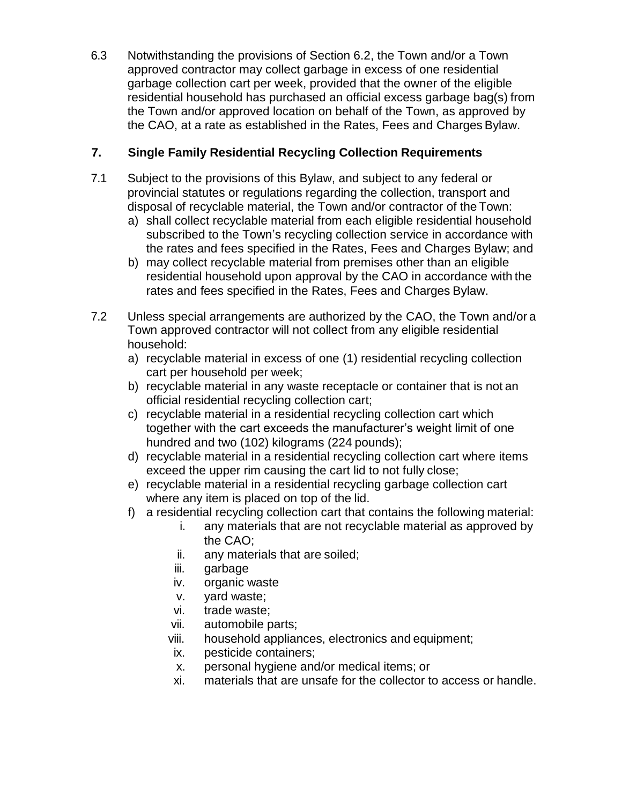6.3 Notwithstanding the provisions of Section 6.2, the Town and/or a Town approved contractor may collect garbage in excess of one residential garbage collection cart per week, provided that the owner of the eligible residential household has purchased an official excess garbage bag(s) from the Town and/or approved location on behalf of the Town, as approved by the CAO, at a rate as established in the Rates, Fees and ChargesBylaw.

# **7. Single Family Residential Recycling Collection Requirements**

- 7.1 Subject to the provisions of this Bylaw, and subject to any federal or provincial statutes or regulations regarding the collection, transport and disposal of recyclable material, the Town and/or contractor of the Town:
	- a) shall collect recyclable material from each eligible residential household subscribed to the Town's recycling collection service in accordance with the rates and fees specified in the Rates, Fees and Charges Bylaw; and
	- b) may collect recyclable material from premises other than an eligible residential household upon approval by the CAO in accordance with the rates and fees specified in the Rates, Fees and Charges Bylaw.
- 7.2 Unless special arrangements are authorized by the CAO, the Town and/or a Town approved contractor will not collect from any eligible residential household:
	- a) recyclable material in excess of one (1) residential recycling collection cart per household per week;
	- b) recyclable material in any waste receptacle or container that is not an official residential recycling collection cart;
	- c) recyclable material in a residential recycling collection cart which together with the cart exceeds the manufacturer's weight limit of one hundred and two (102) kilograms (224 pounds);
	- d) recyclable material in a residential recycling collection cart where items exceed the upper rim causing the cart lid to not fully close;
	- e) recyclable material in a residential recycling garbage collection cart where any item is placed on top of the lid.
	- f) a residential recycling collection cart that contains the following material:
		- i. any materials that are not recyclable material as approved by the CAO;
		- ii. any materials that are soiled;
		- iii. garbage
		- iv. organic waste
		- v. yard waste;
		- vi. trade waste;
		- vii. automobile parts;
		- viii. household appliances, electronics and equipment;
		- ix. pesticide containers;
		- x. personal hygiene and/or medical items; or
		- xi. materials that are unsafe for the collector to access or handle.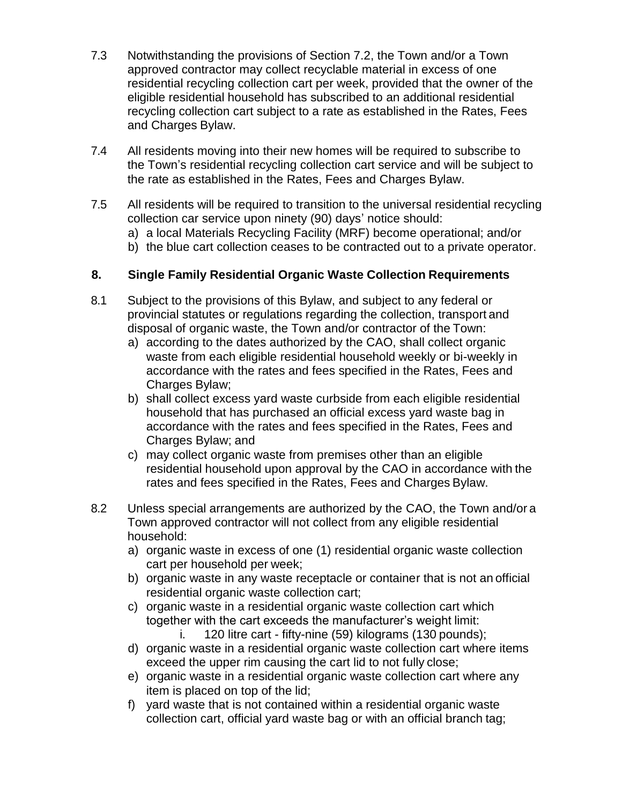- 7.3 Notwithstanding the provisions of Section 7.2, the Town and/or a Town approved contractor may collect recyclable material in excess of one residential recycling collection cart per week, provided that the owner of the eligible residential household has subscribed to an additional residential recycling collection cart subject to a rate as established in the Rates, Fees and Charges Bylaw.
- 7.4 All residents moving into their new homes will be required to subscribe to the Town's residential recycling collection cart service and will be subject to the rate as established in the Rates, Fees and Charges Bylaw.
- 7.5 All residents will be required to transition to the universal residential recycling collection car service upon ninety (90) days' notice should:
	- a) a local Materials Recycling Facility (MRF) become operational; and/or
	- b) the blue cart collection ceases to be contracted out to a private operator.

#### **8. Single Family Residential Organic Waste Collection Requirements**

- 8.1 Subject to the provisions of this Bylaw, and subject to any federal or provincial statutes or regulations regarding the collection, transport and disposal of organic waste, the Town and/or contractor of the Town:
	- a) according to the dates authorized by the CAO, shall collect organic waste from each eligible residential household weekly or bi-weekly in accordance with the rates and fees specified in the Rates, Fees and Charges Bylaw;
	- b) shall collect excess yard waste curbside from each eligible residential household that has purchased an official excess yard waste bag in accordance with the rates and fees specified in the Rates, Fees and Charges Bylaw; and
	- c) may collect organic waste from premises other than an eligible residential household upon approval by the CAO in accordance with the rates and fees specified in the Rates, Fees and Charges Bylaw.
- 8.2 Unless special arrangements are authorized by the CAO, the Town and/or a Town approved contractor will not collect from any eligible residential household:
	- a) organic waste in excess of one (1) residential organic waste collection cart per household per week;
	- b) organic waste in any waste receptacle or container that is not an official residential organic waste collection cart;
	- c) organic waste in a residential organic waste collection cart which together with the cart exceeds the manufacturer's weight limit:
		- i. 120 litre cart fifty-nine (59) kilograms (130 pounds);
	- d) organic waste in a residential organic waste collection cart where items exceed the upper rim causing the cart lid to not fully close;
	- e) organic waste in a residential organic waste collection cart where any item is placed on top of the lid;
	- f) yard waste that is not contained within a residential organic waste collection cart, official yard waste bag or with an official branch tag;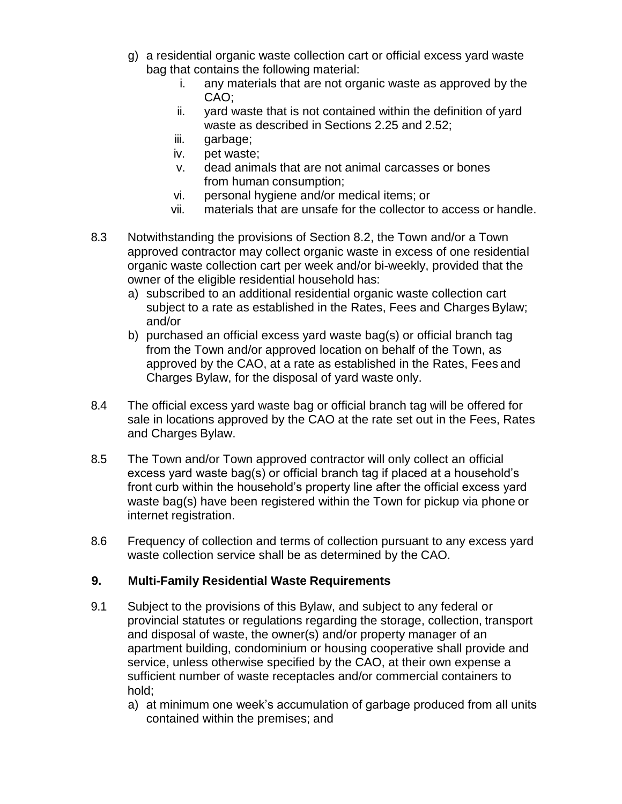- g) a residential organic waste collection cart or official excess yard waste bag that contains the following material:
	- i. any materials that are not organic waste as approved by the CAO;
	- ii. yard waste that is not contained within the definition of yard waste as described in Sections 2.25 and 2.52;
	- iii. garbage;
	- iv. pet waste;
	- v. dead animals that are not animal carcasses or bones from human consumption;
	- vi. personal hygiene and/or medical items; or
	- vii. materials that are unsafe for the collector to access or handle.
- 8.3 Notwithstanding the provisions of Section 8.2, the Town and/or a Town approved contractor may collect organic waste in excess of one residential organic waste collection cart per week and/or bi-weekly, provided that the owner of the eligible residential household has:
	- a) subscribed to an additional residential organic waste collection cart subject to a rate as established in the Rates, Fees and Charges Bylaw; and/or
	- b) purchased an official excess yard waste bag(s) or official branch tag from the Town and/or approved location on behalf of the Town, as approved by the CAO, at a rate as established in the Rates, Fees and Charges Bylaw, for the disposal of yard waste only.
- 8.4 The official excess yard waste bag or official branch tag will be offered for sale in locations approved by the CAO at the rate set out in the Fees, Rates and Charges Bylaw.
- 8.5 The Town and/or Town approved contractor will only collect an official excess yard waste bag(s) or official branch tag if placed at a household's front curb within the household's property line after the official excess yard waste bag(s) have been registered within the Town for pickup via phone or internet registration.
- 8.6 Frequency of collection and terms of collection pursuant to any excess yard waste collection service shall be as determined by the CAO.

# **9. Multi-Family Residential Waste Requirements**

- 9.1 Subject to the provisions of this Bylaw, and subject to any federal or provincial statutes or regulations regarding the storage, collection, transport and disposal of waste, the owner(s) and/or property manager of an apartment building, condominium or housing cooperative shall provide and service, unless otherwise specified by the CAO, at their own expense a sufficient number of waste receptacles and/or commercial containers to hold;
	- a) at minimum one week's accumulation of garbage produced from all units contained within the premises; and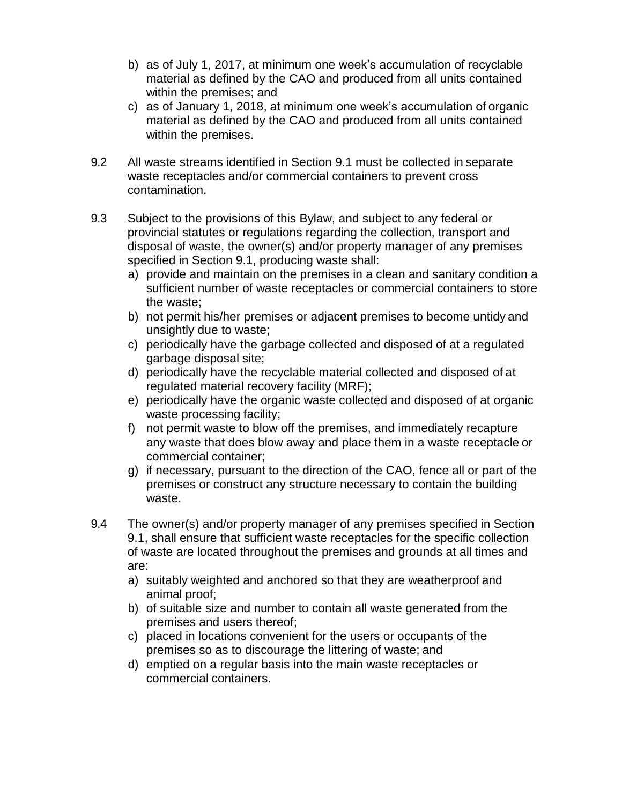- b) as of July 1, 2017, at minimum one week's accumulation of recyclable material as defined by the CAO and produced from all units contained within the premises; and
- c) as of January 1, 2018, at minimum one week's accumulation of organic material as defined by the CAO and produced from all units contained within the premises.
- 9.2 All waste streams identified in Section 9.1 must be collected in separate waste receptacles and/or commercial containers to prevent cross contamination.
- 9.3 Subject to the provisions of this Bylaw, and subject to any federal or provincial statutes or regulations regarding the collection, transport and disposal of waste, the owner(s) and/or property manager of any premises specified in Section 9.1, producing waste shall:
	- a) provide and maintain on the premises in a clean and sanitary condition a sufficient number of waste receptacles or commercial containers to store the waste;
	- b) not permit his/her premises or adjacent premises to become untidy and unsightly due to waste;
	- c) periodically have the garbage collected and disposed of at a regulated garbage disposal site;
	- d) periodically have the recyclable material collected and disposed of at regulated material recovery facility (MRF);
	- e) periodically have the organic waste collected and disposed of at organic waste processing facility;
	- f) not permit waste to blow off the premises, and immediately recapture any waste that does blow away and place them in a waste receptacle or commercial container;
	- g) if necessary, pursuant to the direction of the CAO, fence all or part of the premises or construct any structure necessary to contain the building waste.
- 9.4 The owner(s) and/or property manager of any premises specified in Section 9.1, shall ensure that sufficient waste receptacles for the specific collection of waste are located throughout the premises and grounds at all times and are:
	- a) suitably weighted and anchored so that they are weatherproof and animal proof;
	- b) of suitable size and number to contain all waste generated from the premises and users thereof;
	- c) placed in locations convenient for the users or occupants of the premises so as to discourage the littering of waste; and
	- d) emptied on a regular basis into the main waste receptacles or commercial containers.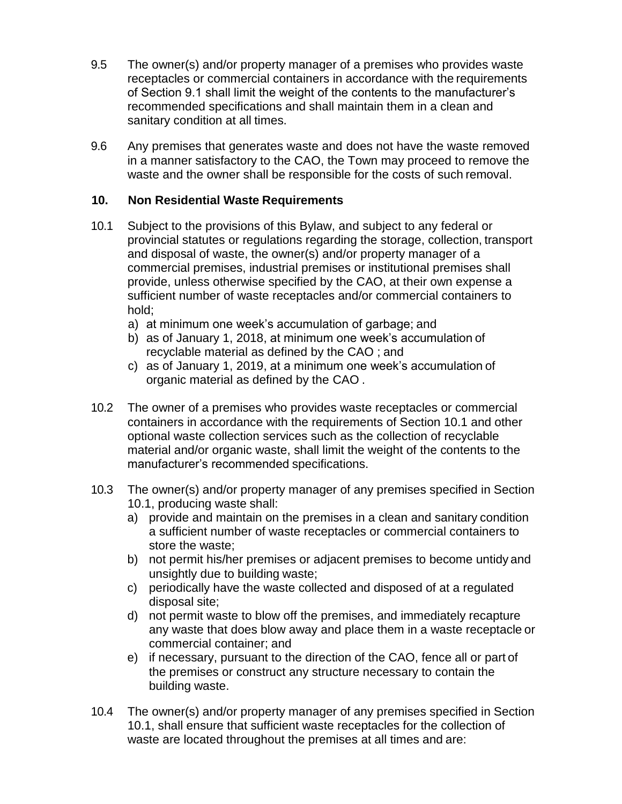- 9.5 The owner(s) and/or property manager of a premises who provides waste receptacles or commercial containers in accordance with the requirements of Section 9.1 shall limit the weight of the contents to the manufacturer's recommended specifications and shall maintain them in a clean and sanitary condition at all times.
- 9.6 Any premises that generates waste and does not have the waste removed in a manner satisfactory to the CAO, the Town may proceed to remove the waste and the owner shall be responsible for the costs of such removal.

# **10. Non Residential Waste Requirements**

- 10.1 Subject to the provisions of this Bylaw, and subject to any federal or provincial statutes or regulations regarding the storage, collection, transport and disposal of waste, the owner(s) and/or property manager of a commercial premises, industrial premises or institutional premises shall provide, unless otherwise specified by the CAO, at their own expense a sufficient number of waste receptacles and/or commercial containers to hold;
	- a) at minimum one week's accumulation of garbage; and
	- b) as of January 1, 2018, at minimum one week's accumulation of recyclable material as defined by the CAO ; and
	- c) as of January 1, 2019, at a minimum one week's accumulation of organic material as defined by the CAO .
- 10.2 The owner of a premises who provides waste receptacles or commercial containers in accordance with the requirements of Section 10.1 and other optional waste collection services such as the collection of recyclable material and/or organic waste, shall limit the weight of the contents to the manufacturer's recommended specifications.
- 10.3 The owner(s) and/or property manager of any premises specified in Section 10.1, producing waste shall:
	- a) provide and maintain on the premises in a clean and sanitary condition a sufficient number of waste receptacles or commercial containers to store the waste;
	- b) not permit his/her premises or adjacent premises to become untidy and unsightly due to building waste;
	- c) periodically have the waste collected and disposed of at a regulated disposal site;
	- d) not permit waste to blow off the premises, and immediately recapture any waste that does blow away and place them in a waste receptacle or commercial container; and
	- e) if necessary, pursuant to the direction of the CAO, fence all or part of the premises or construct any structure necessary to contain the building waste.
- 10.4 The owner(s) and/or property manager of any premises specified in Section 10.1, shall ensure that sufficient waste receptacles for the collection of waste are located throughout the premises at all times and are: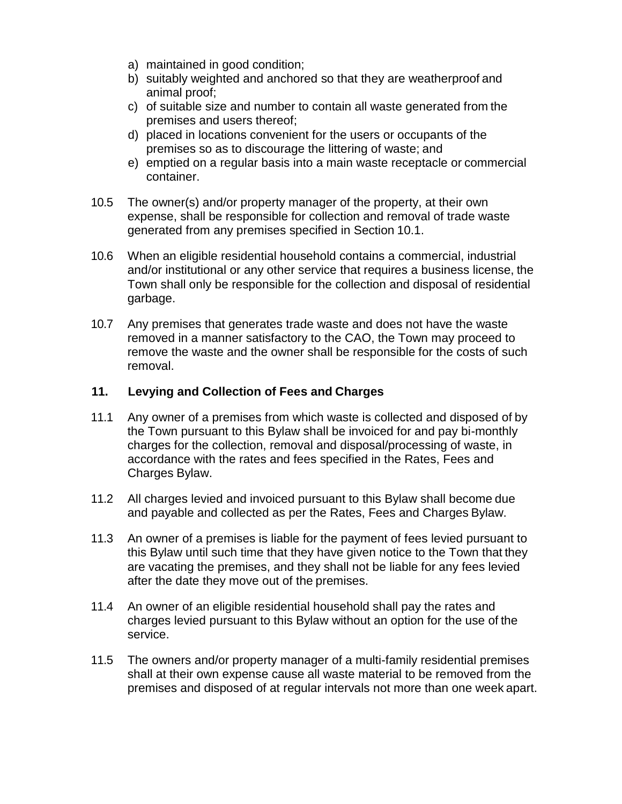- a) maintained in good condition;
- b) suitably weighted and anchored so that they are weatherproof and animal proof;
- c) of suitable size and number to contain all waste generated from the premises and users thereof;
- d) placed in locations convenient for the users or occupants of the premises so as to discourage the littering of waste; and
- e) emptied on a regular basis into a main waste receptacle or commercial container.
- 10.5 The owner(s) and/or property manager of the property, at their own expense, shall be responsible for collection and removal of trade waste generated from any premises specified in Section 10.1.
- 10.6 When an eligible residential household contains a commercial, industrial and/or institutional or any other service that requires a business license, the Town shall only be responsible for the collection and disposal of residential garbage.
- 10.7 Any premises that generates trade waste and does not have the waste removed in a manner satisfactory to the CAO, the Town may proceed to remove the waste and the owner shall be responsible for the costs of such removal.

#### **11. Levying and Collection of Fees and Charges**

- 11.1 Any owner of a premises from which waste is collected and disposed of by the Town pursuant to this Bylaw shall be invoiced for and pay bi-monthly charges for the collection, removal and disposal/processing of waste, in accordance with the rates and fees specified in the Rates, Fees and Charges Bylaw.
- 11.2 All charges levied and invoiced pursuant to this Bylaw shall become due and payable and collected as per the Rates, Fees and Charges Bylaw.
- 11.3 An owner of a premises is liable for the payment of fees levied pursuant to this Bylaw until such time that they have given notice to the Town that they are vacating the premises, and they shall not be liable for any fees levied after the date they move out of the premises.
- 11.4 An owner of an eligible residential household shall pay the rates and charges levied pursuant to this Bylaw without an option for the use of the service.
- 11.5 The owners and/or property manager of a multi-family residential premises shall at their own expense cause all waste material to be removed from the premises and disposed of at regular intervals not more than one week apart.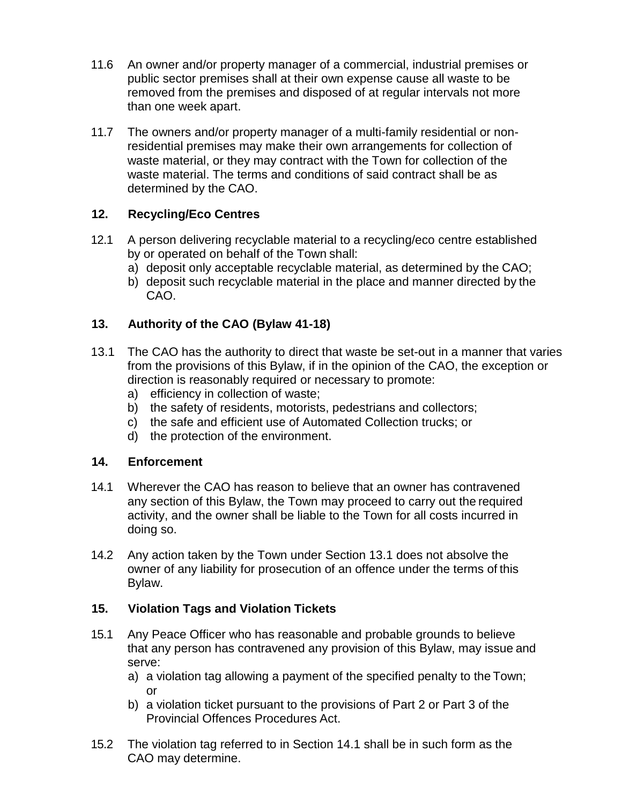- 11.6 An owner and/or property manager of a commercial, industrial premises or public sector premises shall at their own expense cause all waste to be removed from the premises and disposed of at regular intervals not more than one week apart.
- 11.7 The owners and/or property manager of a multi-family residential or nonresidential premises may make their own arrangements for collection of waste material, or they may contract with the Town for collection of the waste material. The terms and conditions of said contract shall be as determined by the CAO.

# **12. Recycling/Eco Centres**

- 12.1 A person delivering recyclable material to a recycling/eco centre established by or operated on behalf of the Town shall:
	- a) deposit only acceptable recyclable material, as determined by the CAO;
	- b) deposit such recyclable material in the place and manner directed by the CAO.

# **13. Authority of the CAO (Bylaw 41-18)**

- 13.1 The CAO has the authority to direct that waste be set-out in a manner that varies from the provisions of this Bylaw, if in the opinion of the CAO, the exception or direction is reasonably required or necessary to promote:
	- a) efficiency in collection of waste;
	- b) the safety of residents, motorists, pedestrians and collectors;
	- c) the safe and efficient use of Automated Collection trucks; or
	- d) the protection of the environment.

# **14. Enforcement**

- 14.1 Wherever the CAO has reason to believe that an owner has contravened any section of this Bylaw, the Town may proceed to carry out the required activity, and the owner shall be liable to the Town for all costs incurred in doing so.
- 14.2 Any action taken by the Town under Section 13.1 does not absolve the owner of any liability for prosecution of an offence under the terms of this Bylaw.

# **15. Violation Tags and Violation Tickets**

- 15.1 Any Peace Officer who has reasonable and probable grounds to believe that any person has contravened any provision of this Bylaw, may issue and serve:
	- a) a violation tag allowing a payment of the specified penalty to the Town; or
	- b) a violation ticket pursuant to the provisions of Part 2 or Part 3 of the Provincial Offences Procedures Act.
- 15.2 The violation tag referred to in Section 14.1 shall be in such form as the CAO may determine.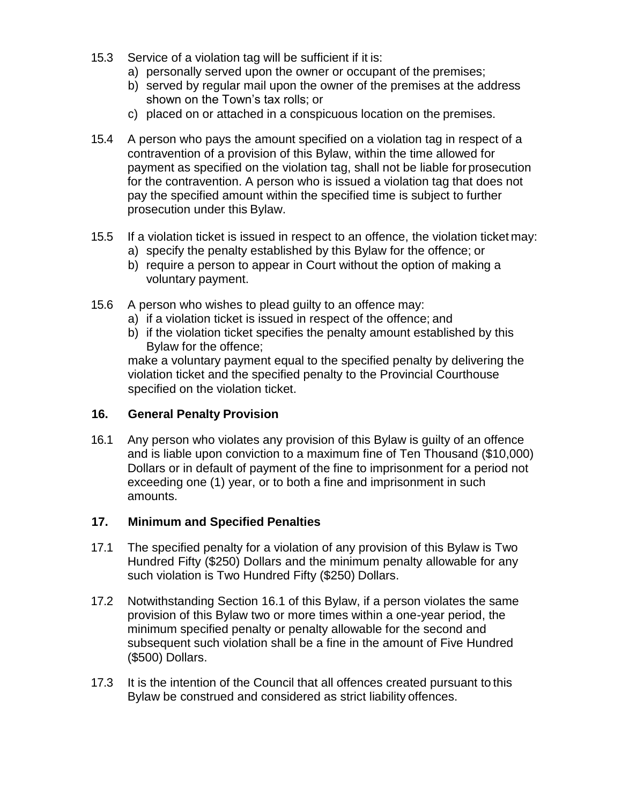- 15.3 Service of a violation tag will be sufficient if it is:
	- a) personally served upon the owner or occupant of the premises;
	- b) served by regular mail upon the owner of the premises at the address shown on the Town's tax rolls; or
	- c) placed on or attached in a conspicuous location on the premises.
- 15.4 A person who pays the amount specified on a violation tag in respect of a contravention of a provision of this Bylaw, within the time allowed for payment as specified on the violation tag, shall not be liable for prosecution for the contravention. A person who is issued a violation tag that does not pay the specified amount within the specified time is subject to further prosecution under this Bylaw.
- 15.5 If a violation ticket is issued in respect to an offence, the violation ticket may:
	- a) specify the penalty established by this Bylaw for the offence; or
	- b) require a person to appear in Court without the option of making a voluntary payment.
- 15.6 A person who wishes to plead guilty to an offence may:
	- a) if a violation ticket is issued in respect of the offence; and
	- b) if the violation ticket specifies the penalty amount established by this Bylaw for the offence;

make a voluntary payment equal to the specified penalty by delivering the violation ticket and the specified penalty to the Provincial Courthouse specified on the violation ticket.

# **16. General Penalty Provision**

16.1 Any person who violates any provision of this Bylaw is guilty of an offence and is liable upon conviction to a maximum fine of Ten Thousand (\$10,000) Dollars or in default of payment of the fine to imprisonment for a period not exceeding one (1) year, or to both a fine and imprisonment in such amounts.

# **17. Minimum and Specified Penalties**

- 17.1 The specified penalty for a violation of any provision of this Bylaw is Two Hundred Fifty (\$250) Dollars and the minimum penalty allowable for any such violation is Two Hundred Fifty (\$250) Dollars.
- 17.2 Notwithstanding Section 16.1 of this Bylaw, if a person violates the same provision of this Bylaw two or more times within a one-year period, the minimum specified penalty or penalty allowable for the second and subsequent such violation shall be a fine in the amount of Five Hundred (\$500) Dollars.
- 17.3 It is the intention of the Council that all offences created pursuant to this Bylaw be construed and considered as strict liability offences.